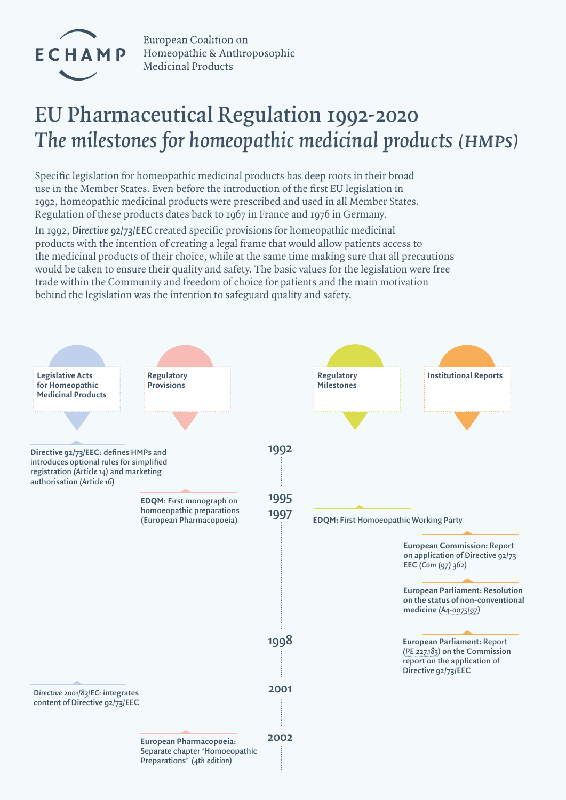

European Coalition on Homeopathic & Anthroposophic **Medicinal Products** 

## **EU Pharmaceutical Regulation 1992-2020** *The milestones for homeopathic medicinal products (HMPs)*

Specific legislation for homeopathic medicinal products has deep roots in their broad use in the Member States. Even before the introduction of the first EU legislation in 1992, homeopathic medicinal products were prescribed and used in all Member States. Regulation of these products dates back to 1967 in France and 1976 in Germany.

In 1992, *[Directive 92/73/EEC](https://op.europa.eu/en/publication-detail/-/publication/a214e4ce-c6cb-4689-9ddd-c9eff54f2cdc/language-en)* created specific provisions for homeopathic medicinal products with the intention of creating a legal frame that would allow patients access to the medicinal products of their choice, while at the same time making sure that all precautions would be taken to ensure their quality and safety. The basic values for the legislation were free trade within the Community and freedom of choice for patients and the main motivation behind the legislation was the intention to safeguard quality and safety.